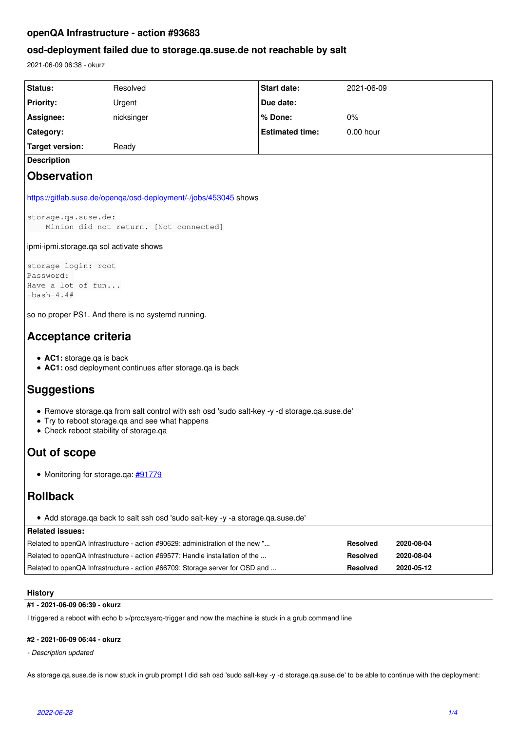# **openQA Infrastructure - action #93683**

# **osd-deployment failed due to storage.qa.suse.de not reachable by salt**

2021-06-09 06:38 - okurz

| Status:                                                                                                                                                                                  | Resolved                                                                      | Start date:            | 2021-06-09      |            |
|------------------------------------------------------------------------------------------------------------------------------------------------------------------------------------------|-------------------------------------------------------------------------------|------------------------|-----------------|------------|
| <b>Priority:</b>                                                                                                                                                                         | Urgent                                                                        | Due date:              |                 |            |
| Assignee:                                                                                                                                                                                | nicksinger                                                                    | % Done:                | 0%              |            |
| Category:                                                                                                                                                                                |                                                                               | <b>Estimated time:</b> | 0.00 hour       |            |
| <b>Target version:</b>                                                                                                                                                                   | Ready                                                                         |                        |                 |            |
| <b>Description</b>                                                                                                                                                                       |                                                                               |                        |                 |            |
| <b>Observation</b>                                                                                                                                                                       |                                                                               |                        |                 |            |
| https://gitlab.suse.de/openqa/osd-deployment/-/jobs/453045 shows                                                                                                                         |                                                                               |                        |                 |            |
| storage.qa.suse.de:<br>Minion did not return. [Not connected]                                                                                                                            |                                                                               |                        |                 |            |
| ipmi-ipmi.storage.qa sol activate shows                                                                                                                                                  |                                                                               |                        |                 |            |
| storage login: root                                                                                                                                                                      |                                                                               |                        |                 |            |
| Password:<br>Have a lot of fun                                                                                                                                                           |                                                                               |                        |                 |            |
| $-bash-4.4#$                                                                                                                                                                             |                                                                               |                        |                 |            |
| so no proper PS1. And there is no systemd running.                                                                                                                                       |                                                                               |                        |                 |            |
|                                                                                                                                                                                          |                                                                               |                        |                 |            |
| Acceptance criteria                                                                                                                                                                      |                                                                               |                        |                 |            |
| • AC1: storage.qa is back<br>• AC1: osd deployment continues after storage.qa is back                                                                                                    |                                                                               |                        |                 |            |
| <b>Suggestions</b>                                                                                                                                                                       |                                                                               |                        |                 |            |
| . Remove storage.qa from salt control with ssh osd 'sudo salt-key -y -d storage.qa.suse.de'<br>• Try to reboot storage.qa and see what happens<br>• Check reboot stability of storage.qa |                                                                               |                        |                 |            |
| Out of scope                                                                                                                                                                             |                                                                               |                        |                 |            |
| • Monitoring for storage.qa: #91779                                                                                                                                                      |                                                                               |                        |                 |            |
| <b>Rollback</b>                                                                                                                                                                          |                                                                               |                        |                 |            |
| • Add storage.qa back to salt ssh osd 'sudo salt-key -y -a storage.qa.suse.de'                                                                                                           |                                                                               |                        |                 |            |
| <b>Related issues:</b>                                                                                                                                                                   |                                                                               |                        |                 |            |
|                                                                                                                                                                                          | Related to openQA Infrastructure - action #90629: administration of the new " |                        | <b>Resolved</b> | 2020-08-04 |
|                                                                                                                                                                                          | Related to openQA Infrastructure - action #69577: Handle installation of the  |                        | <b>Resolved</b> | 2020-08-04 |
|                                                                                                                                                                                          | Related to openQA Infrastructure - action #66709: Storage server for OSD and  |                        | <b>Resolved</b> | 2020-05-12 |
|                                                                                                                                                                                          |                                                                               |                        |                 |            |

## **History**

## **#1 - 2021-06-09 06:39 - okurz**

I triggered a reboot with echo b >/proc/sysrq-trigger and now the machine is stuck in a grub command line

# **#2 - 2021-06-09 06:44 - okurz**

#### *- Description updated*

As storage.qa.suse.de is now stuck in grub prompt I did ssh osd 'sudo salt-key -y -d storage.qa.suse.de' to be able to continue with the deployment: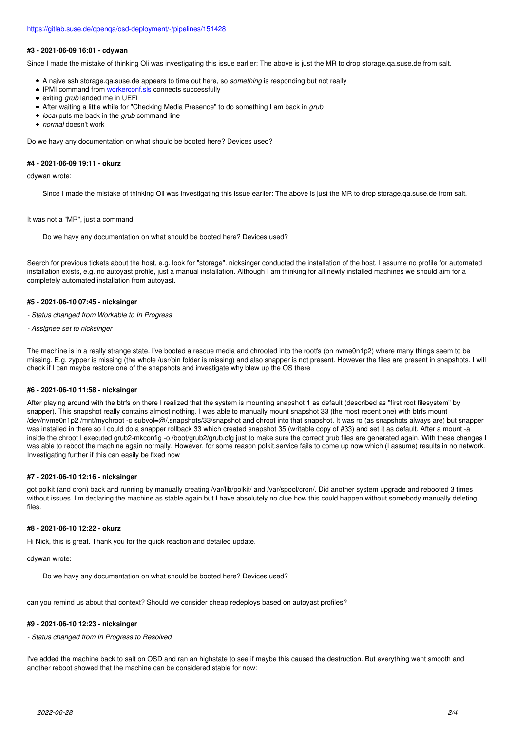#### **#3 - 2021-06-09 16:01 - cdywan**

Since I made the mistake of thinking Oli was investigating this issue earlier: The above is just the MR to drop storage.ga.suse.de from salt.

- A naive ssh storage.qa.suse.de appears to time out here, so *something* is responding but not really
- IPMI command from [workerconf.sls](https://gitlab.suse.de/openqa/salt-pillars-openqa/-/blob/master/openqa/workerconf.sls#L1116) connects successfully
- exiting *grub* landed me in UEFI
- After waiting a little while for "Checking Media Presence" to do something I am back in *grub*
- *local* puts me back in the *grub* command line
- *normal* doesn't work

Do we havy any documentation on what should be booted here? Devices used?

#### **#4 - 2021-06-09 19:11 - okurz**

cdywan wrote:

Since I made the mistake of thinking Oli was investigating this issue earlier: The above is just the MR to drop storage.qa.suse.de from salt.

#### It was not a "MR", just a command

Do we havy any documentation on what should be booted here? Devices used?

Search for previous tickets about the host, e.g. look for "storage". nicksinger conducted the installation of the host. I assume no profile for automated installation exists, e.g. no autoyast profile, just a manual installation. Although I am thinking for all newly installed machines we should aim for a completely automated installation from autoyast.

### **#5 - 2021-06-10 07:45 - nicksinger**

*- Status changed from Workable to In Progress*

*- Assignee set to nicksinger*

The machine is in a really strange state. I've booted a rescue media and chrooted into the rootfs (on nvme0n1p2) where many things seem to be missing. E.g. zypper is missing (the whole /usr/bin folder is missing) and also snapper is not present. However the files are present in snapshots. I will check if I can maybe restore one of the snapshots and investigate why blew up the OS there

#### **#6 - 2021-06-10 11:58 - nicksinger**

After playing around with the btrfs on there I realized that the system is mounting snapshot 1 as default (described as "first root filesystem" by snapper). This snapshot really contains almost nothing. I was able to manually mount snapshot 33 (the most recent one) with btrfs mount /dev/nvme0n1p2 /mnt/mychroot -o subvol=@/.snapshots/33/snapshot and chroot into that snapshot. It was ro (as snapshots always are) but snapper was installed in there so I could do a snapper rollback 33 which created snapshot 35 (writable copy of #33) and set it as default. After a mount -a inside the chroot I executed grub2-mkconfig -o /boot/grub2/grub.cfg just to make sure the correct grub files are generated again. With these changes I was able to reboot the machine again normally. However, for some reason polkit.service fails to come up now which (I assume) results in no network. Investigating further if this can easily be fixed now

### **#7 - 2021-06-10 12:16 - nicksinger**

got polkit (and cron) back and running by manually creating /var/lib/polkit/ and /var/spool/cron/. Did another system upgrade and rebooted 3 times without issues. I'm declaring the machine as stable again but I have absolutely no clue how this could happen without somebody manually deleting files.

#### **#8 - 2021-06-10 12:22 - okurz**

Hi Nick, this is great. Thank you for the quick reaction and detailed update.

cdywan wrote:

Do we havy any documentation on what should be booted here? Devices used?

can you remind us about that context? Should we consider cheap redeploys based on autoyast profiles?

#### **#9 - 2021-06-10 12:23 - nicksinger**

*- Status changed from In Progress to Resolved*

I've added the machine back to salt on OSD and ran an highstate to see if maybe this caused the destruction. But everything went smooth and another reboot showed that the machine can be considered stable for now: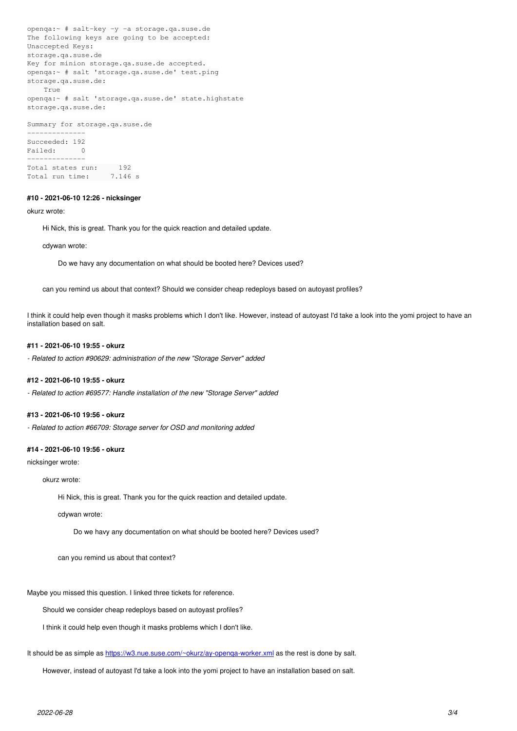```
openqa:~ # salt-key -y -a storage.qa.suse.de
The following keys are going to be accepted:
Unaccepted Keys:
storage.qa.suse.de
Key for minion storage.qa.suse.de accepted.
openqa:~ # salt 'storage.qa.suse.de' test.ping
storage.qa.suse.de:
        True
openqa:~ # salt 'storage.qa.suse.de' state.highstate
storage.qa.suse.de:
Summary for storage.qa.suse.de
--------------
Succeeded: 192<br>Failed: 0
Failed\cdot--------------
Total states run:     192
Total run time: 7.146 s
```
### **#10 - 2021-06-10 12:26 - nicksinger**

#### okurz wrote:

Hi Nick, this is great. Thank you for the quick reaction and detailed update.

#### cdywan wrote:

Do we havy any documentation on what should be booted here? Devices used?

can you remind us about that context? Should we consider cheap redeploys based on autoyast profiles?

I think it could help even though it masks problems which I don't like. However, instead of autoyast I'd take a look into the yomi project to have an installation based on salt.

#### **#11 - 2021-06-10 19:55 - okurz**

*- Related to action #90629: administration of the new "Storage Server" added*

#### **#12 - 2021-06-10 19:55 - okurz**

*- Related to action #69577: Handle installation of the new "Storage Server" added*

#### **#13 - 2021-06-10 19:56 - okurz**

*- Related to action #66709: Storage server for OSD and monitoring added*

### **#14 - 2021-06-10 19:56 - okurz**

nicksinger wrote:

#### okurz wrote:

Hi Nick, this is great. Thank you for the quick reaction and detailed update.

cdywan wrote:

Do we havy any documentation on what should be booted here? Devices used?

can you remind us about that context?

Maybe you missed this question. I linked three tickets for reference.

Should we consider cheap redeploys based on autoyast profiles?

I think it could help even though it masks problems which I don't like.

It should be as simple as [https://w3.nue.suse.com/~okurz/ay-openqa-worker.xml](https://w3.nue.suse.com/%7Eokurz/ay-openqa-worker.xml) as the rest is done by salt.

However, instead of autoyast I'd take a look into the yomi project to have an installation based on salt.